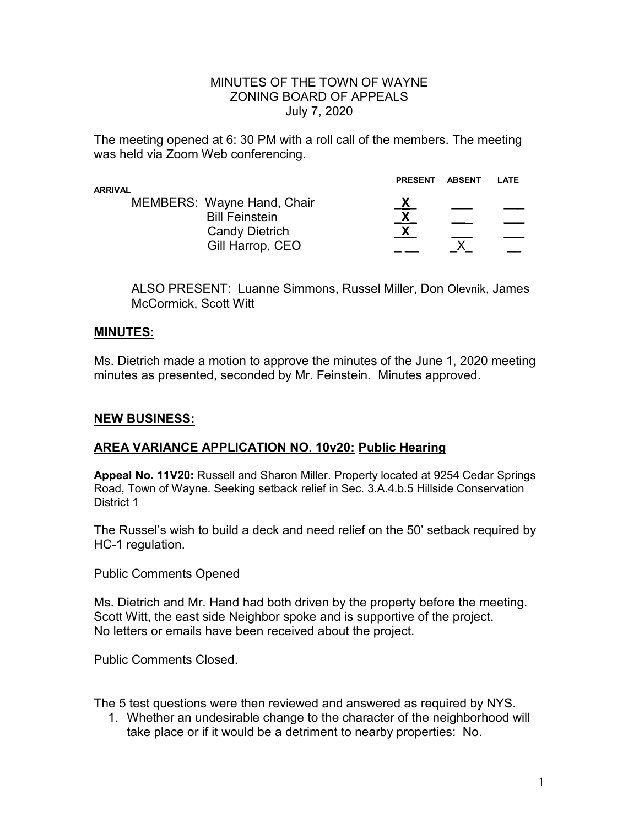#### MINUTES OF THE TOWN OF WAYNE ZONING BOARD OF APPEALS July 7, 2020

The meeting opened at 6: 30 PM with a roll call of the members. The meeting was held via Zoom Web conferencing.

| ARRIVAL |                                                                                                         | <b>PRESENT</b> | <b>ABSENT</b> | LATE |
|---------|---------------------------------------------------------------------------------------------------------|----------------|---------------|------|
|         | <b>MEMBERS: Wayne Hand, Chair</b><br><b>Bill Feinstein</b><br><b>Candy Dietrich</b><br>Gill Harrop, CEO | X              |               |      |

ALSO PRESENT: Luanne Simmons, Russel Miller, Don Olevnik, James McCormick, Scott Witt

#### **MINUTES:**

Ms. Dietrich made a motion to approve the minutes of the June 1, 2020 meeting minutes as presented, seconded by Mr. Feinstein. Minutes approved.

## **NEW BUSINESS:**

## **AREA VARIANCE APPLICATION NO. 10v20: Public Hearing**

**Appeal No. 11V20:** Russell and Sharon Miller. Property located at 9254 Cedar Springs Road, Town of Wayne. Seeking setback relief in Sec. 3.A.4.b.5 Hillside Conservation District 1

The Russel's wish to build a deck and need relief on the 50' setback required by HC-1 regulation.

Public Comments Opened

Ms. Dietrich and Mr. Hand had both driven by the property before the meeting. Scott Witt, the east side Neighbor spoke and is supportive of the project. No letters or emails have been received about the project.

Public Comments Closed.

The 5 test questions were then reviewed and answered as required by NYS.

1. Whether an undesirable change to the character of the neighborhood will take place or if it would be a detriment to nearby properties: No.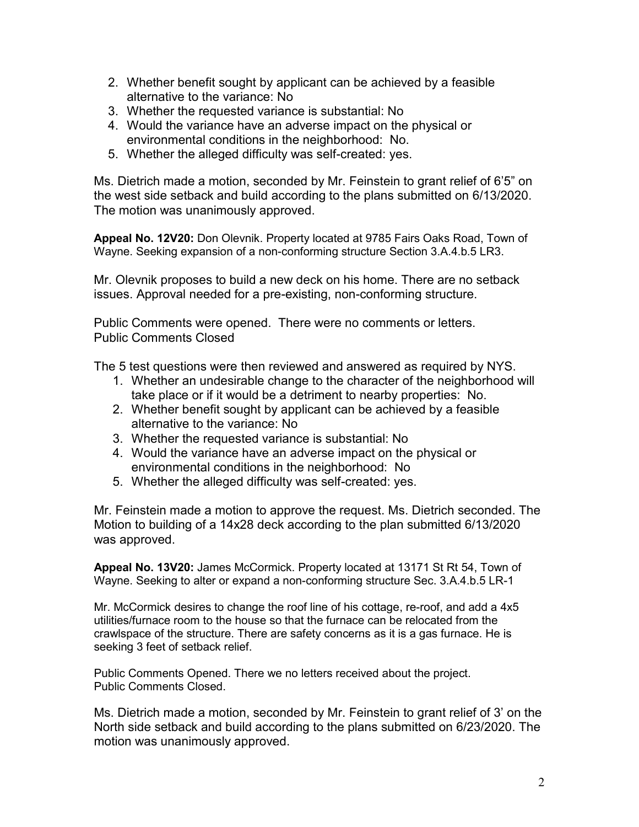- 2. Whether benefit sought by applicant can be achieved by a feasible alternative to the variance: No
- 3. Whether the requested variance is substantial: No
- 4. Would the variance have an adverse impact on the physical or environmental conditions in the neighborhood: No.
- 5. Whether the alleged difficulty was self-created: yes.

Ms. Dietrich made a motion, seconded by Mr. Feinstein to grant relief of 6'5" on the west side setback and build according to the plans submitted on 6/13/2020. The motion was unanimously approved.

**Appeal No. 12V20:** Don Olevnik. Property located at 9785 Fairs Oaks Road, Town of Wayne. Seeking expansion of a non-conforming structure Section 3.A.4.b.5 LR3.

Mr. Olevnik proposes to build a new deck on his home. There are no setback issues. Approval needed for a pre-existing, non-conforming structure.

Public Comments were opened. There were no comments or letters. Public Comments Closed

The 5 test questions were then reviewed and answered as required by NYS.

- 1. Whether an undesirable change to the character of the neighborhood will take place or if it would be a detriment to nearby properties: No.
- 2. Whether benefit sought by applicant can be achieved by a feasible alternative to the variance: No
- 3. Whether the requested variance is substantial: No
- 4. Would the variance have an adverse impact on the physical or environmental conditions in the neighborhood: No
- 5. Whether the alleged difficulty was self-created: yes.

Mr. Feinstein made a motion to approve the request. Ms. Dietrich seconded. The Motion to building of a 14x28 deck according to the plan submitted 6/13/2020 was approved.

**Appeal No. 13V20:** James McCormick. Property located at 13171 St Rt 54, Town of Wayne. Seeking to alter or expand a non-conforming structure Sec. 3.A.4.b.5 LR-1

Mr. McCormick desires to change the roof line of his cottage, re-roof, and add a 4x5 utilities/furnace room to the house so that the furnace can be relocated from the crawlspace of the structure. There are safety concerns as it is a gas furnace. He is seeking 3 feet of setback relief.

Public Comments Opened. There we no letters received about the project. Public Comments Closed.

Ms. Dietrich made a motion, seconded by Mr. Feinstein to grant relief of 3' on the North side setback and build according to the plans submitted on 6/23/2020. The motion was unanimously approved.